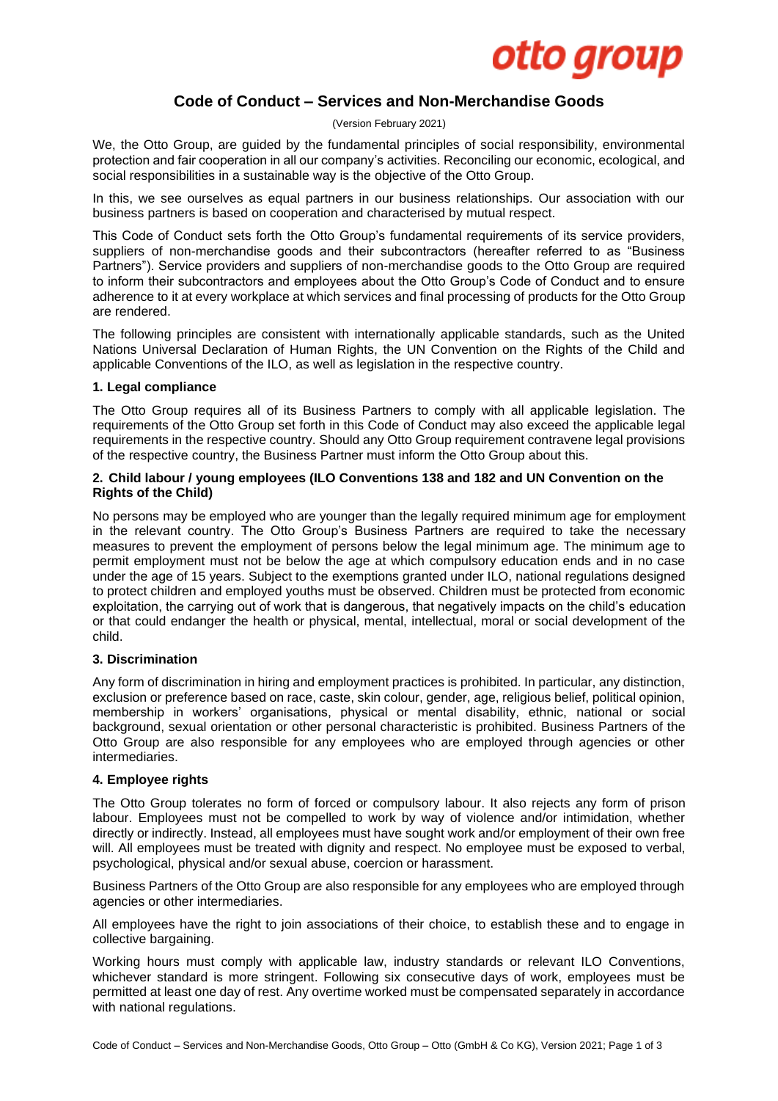

# **Code of Conduct – Services and Non-Merchandise Goods**

(Version February 2021)

We, the Otto Group, are guided by the fundamental principles of social responsibility, environmental protection and fair cooperation in all our company's activities. Reconciling our economic, ecological, and social responsibilities in a sustainable way is the objective of the Otto Group.

In this, we see ourselves as equal partners in our business relationships. Our association with our business partners is based on cooperation and characterised by mutual respect.

This Code of Conduct sets forth the Otto Group's fundamental requirements of its service providers, suppliers of non-merchandise goods and their subcontractors (hereafter referred to as "Business Partners"). Service providers and suppliers of non-merchandise goods to the Otto Group are required to inform their subcontractors and employees about the Otto Group's Code of Conduct and to ensure adherence to it at every workplace at which services and final processing of products for the Otto Group are rendered.

The following principles are consistent with internationally applicable standards, such as the United Nations Universal Declaration of Human Rights, the UN Convention on the Rights of the Child and applicable Conventions of the ILO, as well as legislation in the respective country.

## **1. Legal compliance**

The Otto Group requires all of its Business Partners to comply with all applicable legislation. The requirements of the Otto Group set forth in this Code of Conduct may also exceed the applicable legal requirements in the respective country. Should any Otto Group requirement contravene legal provisions of the respective country, the Business Partner must inform the Otto Group about this.

#### **2. Child labour / young employees (ILO Conventions 138 and 182 and UN Convention on the Rights of the Child)**

No persons may be employed who are younger than the legally required minimum age for employment in the relevant country. The Otto Group's Business Partners are required to take the necessary measures to prevent the employment of persons below the legal minimum age. The minimum age to permit employment must not be below the age at which compulsory education ends and in no case under the age of 15 years. Subject to the exemptions granted under ILO, national regulations designed to protect children and employed youths must be observed. Children must be protected from economic exploitation, the carrying out of work that is dangerous, that negatively impacts on the child's education or that could endanger the health or physical, mental, intellectual, moral or social development of the child.

## **3. Discrimination**

Any form of discrimination in hiring and employment practices is prohibited. In particular, any distinction, exclusion or preference based on race, caste, skin colour, gender, age, religious belief, political opinion, membership in workers' organisations, physical or mental disability, ethnic, national or social background, sexual orientation or other personal characteristic is prohibited. Business Partners of the Otto Group are also responsible for any employees who are employed through agencies or other intermediaries.

#### **4. Employee rights**

The Otto Group tolerates no form of forced or compulsory labour. It also rejects any form of prison labour. Employees must not be compelled to work by way of violence and/or intimidation, whether directly or indirectly. Instead, all employees must have sought work and/or employment of their own free will. All employees must be treated with dignity and respect. No employee must be exposed to verbal, psychological, physical and/or sexual abuse, coercion or harassment.

Business Partners of the Otto Group are also responsible for any employees who are employed through agencies or other intermediaries.

All employees have the right to join associations of their choice, to establish these and to engage in collective bargaining.

Working hours must comply with applicable law, industry standards or relevant ILO Conventions, whichever standard is more stringent. Following six consecutive days of work, employees must be permitted at least one day of rest. Any overtime worked must be compensated separately in accordance with national regulations.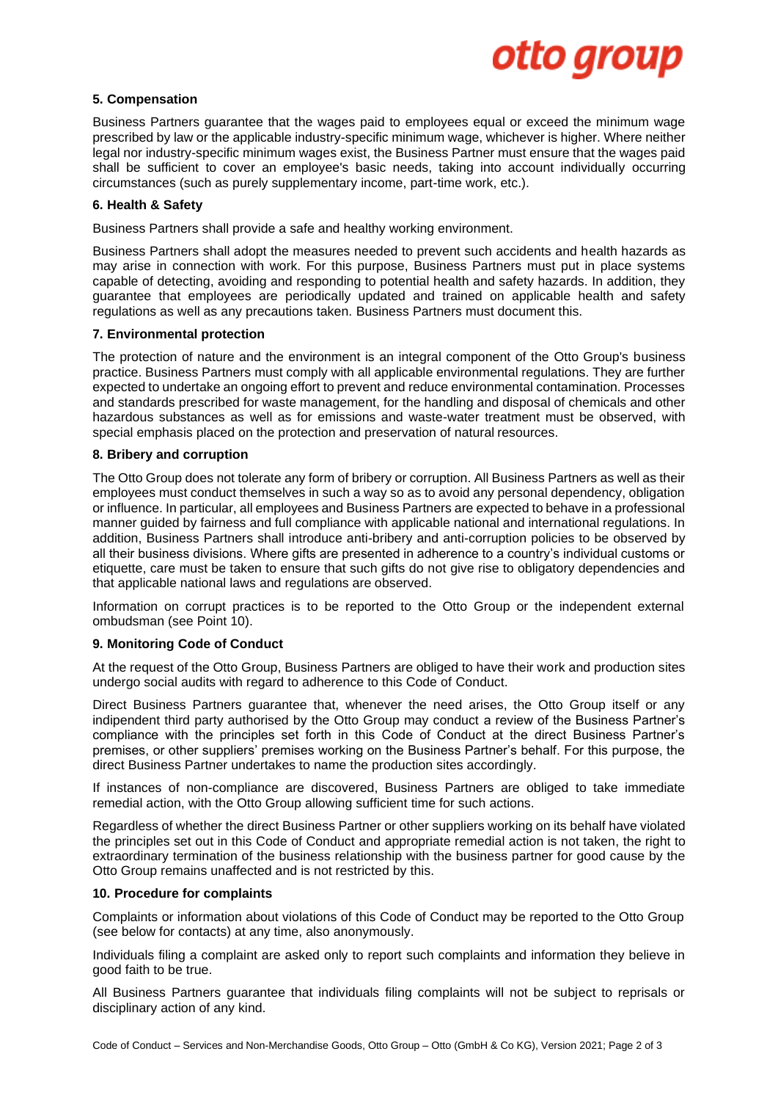

# **5. Compensation**

Business Partners guarantee that the wages paid to employees equal or exceed the minimum wage prescribed by law or the applicable industry-specific minimum wage, whichever is higher. Where neither legal nor industry-specific minimum wages exist, the Business Partner must ensure that the wages paid shall be sufficient to cover an employee's basic needs, taking into account individually occurring circumstances (such as purely supplementary income, part-time work, etc.).

#### **6. Health & Safety**

Business Partners shall provide a safe and healthy working environment.

Business Partners shall adopt the measures needed to prevent such accidents and health hazards as may arise in connection with work. For this purpose, Business Partners must put in place systems capable of detecting, avoiding and responding to potential health and safety hazards. In addition, they guarantee that employees are periodically updated and trained on applicable health and safety regulations as well as any precautions taken. Business Partners must document this.

#### **7. Environmental protection**

The protection of nature and the environment is an integral component of the Otto Group's business practice. Business Partners must comply with all applicable environmental regulations. They are further expected to undertake an ongoing effort to prevent and reduce environmental contamination. Processes and standards prescribed for waste management, for the handling and disposal of chemicals and other hazardous substances as well as for emissions and waste-water treatment must be observed, with special emphasis placed on the protection and preservation of natural resources.

#### **8. Bribery and corruption**

The Otto Group does not tolerate any form of bribery or corruption. All Business Partners as well as their employees must conduct themselves in such a way so as to avoid any personal dependency, obligation or influence. In particular, all employees and Business Partners are expected to behave in a professional manner guided by fairness and full compliance with applicable national and international regulations. In addition, Business Partners shall introduce anti-bribery and anti-corruption policies to be observed by all their business divisions. Where gifts are presented in adherence to a country's individual customs or etiquette, care must be taken to ensure that such gifts do not give rise to obligatory dependencies and that applicable national laws and regulations are observed.

Information on corrupt practices is to be reported to the Otto Group or the independent external ombudsman (see Point 10).

#### **9. Monitoring Code of Conduct**

At the request of the Otto Group, Business Partners are obliged to have their work and production sites undergo social audits with regard to adherence to this Code of Conduct.

Direct Business Partners guarantee that, whenever the need arises, the Otto Group itself or any indipendent third party authorised by the Otto Group may conduct a review of the Business Partner's compliance with the principles set forth in this Code of Conduct at the direct Business Partner's premises, or other suppliers' premises working on the Business Partner's behalf. For this purpose, the direct Business Partner undertakes to name the production sites accordingly.

If instances of non-compliance are discovered, Business Partners are obliged to take immediate remedial action, with the Otto Group allowing sufficient time for such actions.

Regardless of whether the direct Business Partner or other suppliers working on its behalf have violated the principles set out in this Code of Conduct and appropriate remedial action is not taken, the right to extraordinary termination of the business relationship with the business partner for good cause by the Otto Group remains unaffected and is not restricted by this.

#### **10. Procedure for complaints**

Complaints or information about violations of this Code of Conduct may be reported to the Otto Group (see below for contacts) at any time, also anonymously.

Individuals filing a complaint are asked only to report such complaints and information they believe in good faith to be true.

All Business Partners guarantee that individuals filing complaints will not be subject to reprisals or disciplinary action of any kind.